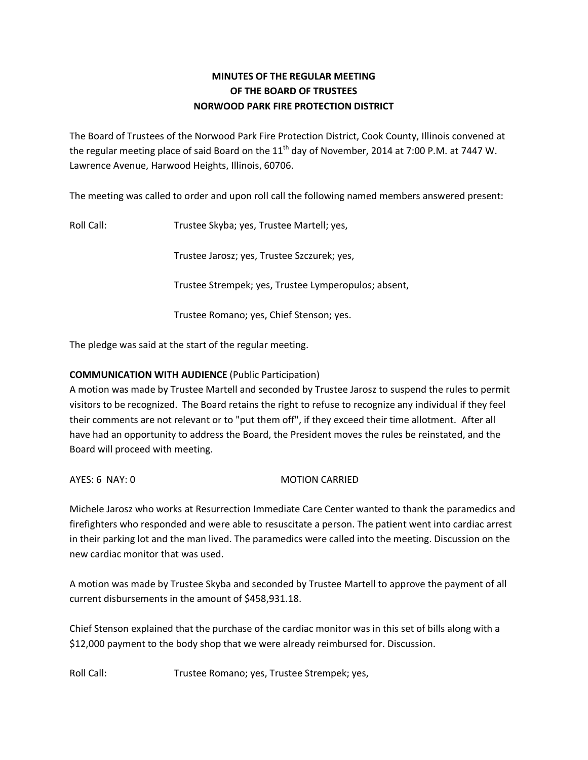# **MINUTES OF THE REGULAR MEETING OF THE BOARD OF TRUSTEES NORWOOD PARK FIRE PROTECTION DISTRICT**

The Board of Trustees of the Norwood Park Fire Protection District, Cook County, Illinois convened at the regular meeting place of said Board on the 11<sup>th</sup> day of November, 2014 at 7:00 P.M. at 7447 W. Lawrence Avenue, Harwood Heights, Illinois, 60706.

The meeting was called to order and upon roll call the following named members answered present:

Roll Call: Trustee Skyba; yes, Trustee Martell; yes,

Trustee Jarosz; yes, Trustee Szczurek; yes,

Trustee Strempek; yes, Trustee Lymperopulos; absent,

Trustee Romano; yes, Chief Stenson; yes.

The pledge was said at the start of the regular meeting.

### **COMMUNICATION WITH AUDIENCE** (Public Participation)

A motion was made by Trustee Martell and seconded by Trustee Jarosz to suspend the rules to permit visitors to be recognized. The Board retains the right to refuse to recognize any individual if they feel their comments are not relevant or to "put them off", if they exceed their time allotment. After all have had an opportunity to address the Board, the President moves the rules be reinstated, and the Board will proceed with meeting.

AYES: 6 NAY: 0 MOTION CARRIED

Michele Jarosz who works at Resurrection Immediate Care Center wanted to thank the paramedics and firefighters who responded and were able to resuscitate a person. The patient went into cardiac arrest in their parking lot and the man lived. The paramedics were called into the meeting. Discussion on the new cardiac monitor that was used.

A motion was made by Trustee Skyba and seconded by Trustee Martell to approve the payment of all current disbursements in the amount of \$458,931.18.

Chief Stenson explained that the purchase of the cardiac monitor was in this set of bills along with a \$12,000 payment to the body shop that we were already reimbursed for. Discussion.

Roll Call: Trustee Romano; yes, Trustee Strempek; yes,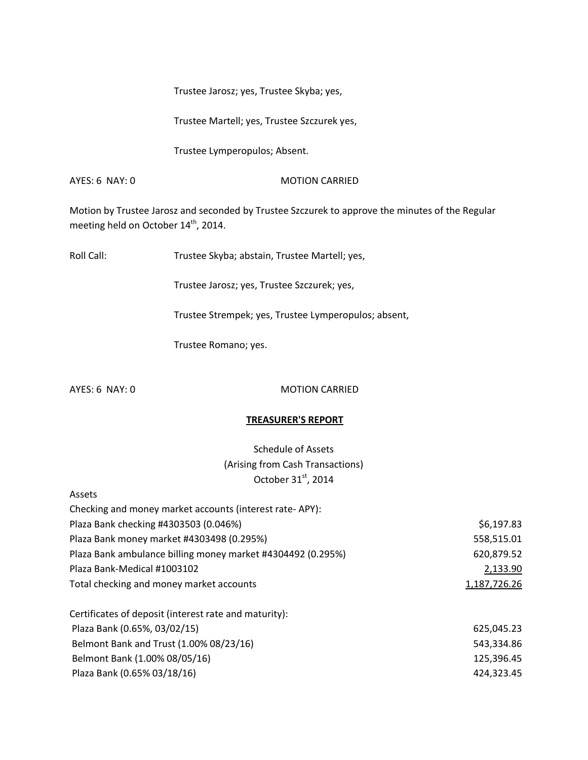Trustee Jarosz; yes, Trustee Skyba; yes,

Trustee Martell; yes, Trustee Szczurek yes,

Trustee Lymperopulos; Absent.

AYES: 6 NAY: 0 MOTION CARRIED

Motion by Trustee Jarosz and seconded by Trustee Szczurek to approve the minutes of the Regular meeting held on October 14<sup>th</sup>, 2014.

Roll Call: Trustee Skyba; abstain, Trustee Martell; yes,

Trustee Jarosz; yes, Trustee Szczurek; yes,

Trustee Strempek; yes, Trustee Lymperopulos; absent,

Trustee Romano; yes.

#### AYES: 6 NAY: 0 MOTION CARRIED

#### **TREASURER'S REPORT**

Schedule of Assets (Arising from Cash Transactions) October 31<sup>st</sup>, 2014

| Assets                                                      |              |
|-------------------------------------------------------------|--------------|
| Checking and money market accounts (interest rate-APY):     |              |
| Plaza Bank checking #4303503 (0.046%)                       | \$6,197.83   |
| Plaza Bank money market #4303498 (0.295%)                   | 558,515.01   |
| Plaza Bank ambulance billing money market #4304492 (0.295%) | 620,879.52   |
| Plaza Bank-Medical #1003102                                 | 2,133.90     |
| Total checking and money market accounts                    | 1,187,726.26 |
| Certificates of deposit (interest rate and maturity):       |              |
| Plaza Bank (0.65%, 03/02/15)                                | 625,045.23   |
| Belmont Bank and Trust (1.00% 08/23/16)                     | 543,334.86   |
| Belmont Bank (1.00% 08/05/16)                               | 125,396.45   |
| Plaza Bank (0.65% 03/18/16)                                 | 424,323.45   |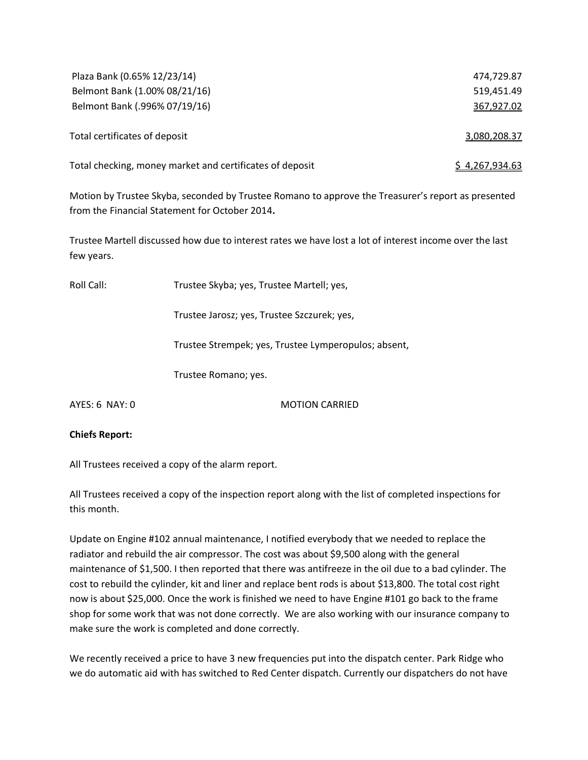| Plaza Bank (0.65% 12/23/14)                              | 474,729.87            |
|----------------------------------------------------------|-----------------------|
| Belmont Bank (1.00% 08/21/16)                            | 519.451.49            |
| Belmont Bank (.996% 07/19/16)                            | 367,927.02            |
|                                                          |                       |
| Total certificates of deposit                            | 3,080,208.37          |
|                                                          |                       |
| Total checking, money market and certificates of deposit | <u>\$4,267,934.63</u> |

Motion by Trustee Skyba, seconded by Trustee Romano to approve the Treasurer's report as presented from the Financial Statement for October 2014**.** 

Trustee Martell discussed how due to interest rates we have lost a lot of interest income over the last few years.

| Roll Call:       | Trustee Skyba; yes, Trustee Martell; yes,            |  |
|------------------|------------------------------------------------------|--|
|                  | Trustee Jarosz; yes, Trustee Szczurek; yes,          |  |
|                  | Trustee Strempek; yes, Trustee Lymperopulos; absent, |  |
|                  | Trustee Romano; yes.                                 |  |
| $AYFS: 6$ NAY: 0 | <b>MOTION CARRIFD</b>                                |  |

**Chiefs Report:** 

All Trustees received a copy of the alarm report.

All Trustees received a copy of the inspection report along with the list of completed inspections for this month.

Update on Engine #102 annual maintenance, I notified everybody that we needed to replace the radiator and rebuild the air compressor. The cost was about \$9,500 along with the general maintenance of \$1,500. I then reported that there was antifreeze in the oil due to a bad cylinder. The cost to rebuild the cylinder, kit and liner and replace bent rods is about \$13,800. The total cost right now is about \$25,000. Once the work is finished we need to have Engine #101 go back to the frame shop for some work that was not done correctly. We are also working with our insurance company to make sure the work is completed and done correctly.

We recently received a price to have 3 new frequencies put into the dispatch center. Park Ridge who we do automatic aid with has switched to Red Center dispatch. Currently our dispatchers do not have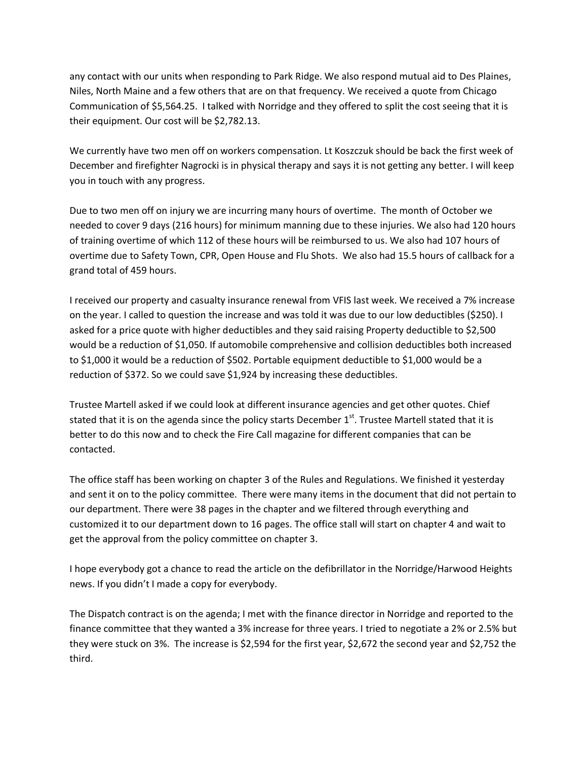any contact with our units when responding to Park Ridge. We also respond mutual aid to Des Plaines, Niles, North Maine and a few others that are on that frequency. We received a quote from Chicago Communication of \$5,564.25. I talked with Norridge and they offered to split the cost seeing that it is their equipment. Our cost will be \$2,782.13.

We currently have two men off on workers compensation. Lt Koszczuk should be back the first week of December and firefighter Nagrocki is in physical therapy and says it is not getting any better. I will keep you in touch with any progress.

Due to two men off on injury we are incurring many hours of overtime. The month of October we needed to cover 9 days (216 hours) for minimum manning due to these injuries. We also had 120 hours of training overtime of which 112 of these hours will be reimbursed to us. We also had 107 hours of overtime due to Safety Town, CPR, Open House and Flu Shots. We also had 15.5 hours of callback for a grand total of 459 hours.

I received our property and casualty insurance renewal from VFIS last week. We received a 7% increase on the year. I called to question the increase and was told it was due to our low deductibles (\$250). I asked for a price quote with higher deductibles and they said raising Property deductible to \$2,500 would be a reduction of \$1,050. If automobile comprehensive and collision deductibles both increased to \$1,000 it would be a reduction of \$502. Portable equipment deductible to \$1,000 would be a reduction of \$372. So we could save \$1,924 by increasing these deductibles.

Trustee Martell asked if we could look at different insurance agencies and get other quotes. Chief stated that it is on the agenda since the policy starts December  $1<sup>st</sup>$ . Trustee Martell stated that it is better to do this now and to check the Fire Call magazine for different companies that can be contacted.

The office staff has been working on chapter 3 of the Rules and Regulations. We finished it yesterday and sent it on to the policy committee. There were many items in the document that did not pertain to our department. There were 38 pages in the chapter and we filtered through everything and customized it to our department down to 16 pages. The office stall will start on chapter 4 and wait to get the approval from the policy committee on chapter 3.

I hope everybody got a chance to read the article on the defibrillator in the Norridge/Harwood Heights news. If you didn't I made a copy for everybody.

The Dispatch contract is on the agenda; I met with the finance director in Norridge and reported to the finance committee that they wanted a 3% increase for three years. I tried to negotiate a 2% or 2.5% but they were stuck on 3%. The increase is \$2,594 for the first year, \$2,672 the second year and \$2,752 the third.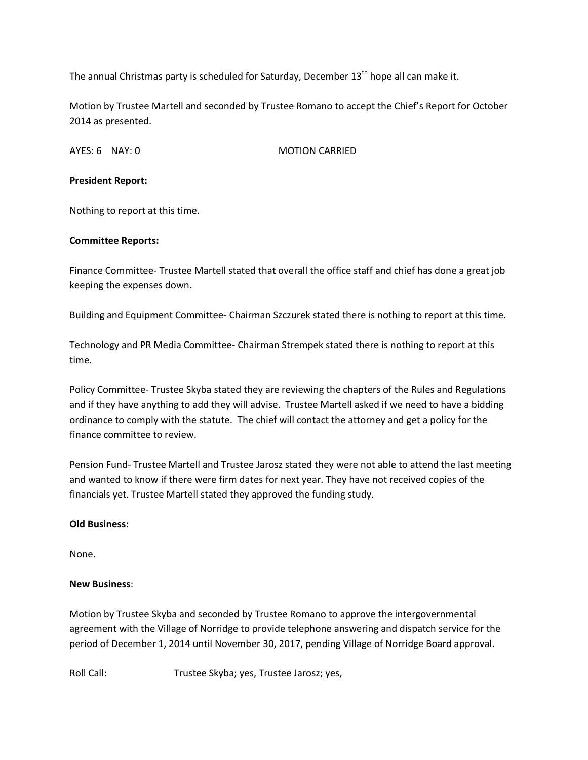The annual Christmas party is scheduled for Saturday, December  $13<sup>th</sup>$  hope all can make it.

Motion by Trustee Martell and seconded by Trustee Romano to accept the Chief's Report for October 2014 as presented.

AYES: 6 NAY: 0 MOTION CARRIED

### **President Report:**

Nothing to report at this time.

### **Committee Reports:**

Finance Committee- Trustee Martell stated that overall the office staff and chief has done a great job keeping the expenses down.

Building and Equipment Committee- Chairman Szczurek stated there is nothing to report at this time.

Technology and PR Media Committee- Chairman Strempek stated there is nothing to report at this time.

Policy Committee- Trustee Skyba stated they are reviewing the chapters of the Rules and Regulations and if they have anything to add they will advise. Trustee Martell asked if we need to have a bidding ordinance to comply with the statute. The chief will contact the attorney and get a policy for the finance committee to review.

Pension Fund- Trustee Martell and Trustee Jarosz stated they were not able to attend the last meeting and wanted to know if there were firm dates for next year. They have not received copies of the financials yet. Trustee Martell stated they approved the funding study.

# **Old Business:**

None.

# **New Business**:

Motion by Trustee Skyba and seconded by Trustee Romano to approve the intergovernmental agreement with the Village of Norridge to provide telephone answering and dispatch service for the period of December 1, 2014 until November 30, 2017, pending Village of Norridge Board approval.

Roll Call: Trustee Skyba; yes, Trustee Jarosz; yes,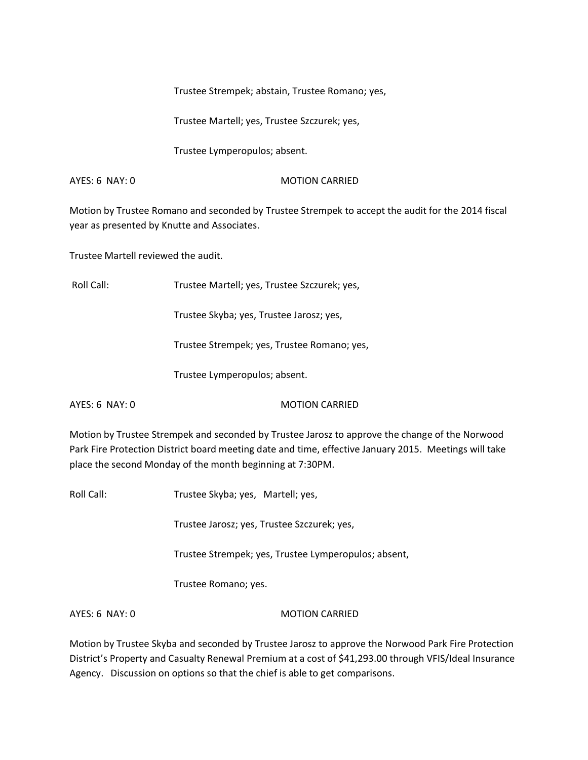Trustee Strempek; abstain, Trustee Romano; yes,

Trustee Martell; yes, Trustee Szczurek; yes,

Trustee Lymperopulos; absent.

AYES: 6 NAY: 0 MOTION CARRIED

Motion by Trustee Romano and seconded by Trustee Strempek to accept the audit for the 2014 fiscal year as presented by Knutte and Associates.

Trustee Martell reviewed the audit.

Roll Call: Trustee Martell; yes, Trustee Szczurek; yes,

Trustee Skyba; yes, Trustee Jarosz; yes,

Trustee Strempek; yes, Trustee Romano; yes,

Trustee Lymperopulos; absent.

AYES: 6 NAY: 0 MOTION CARRIED

Motion by Trustee Strempek and seconded by Trustee Jarosz to approve the change of the Norwood Park Fire Protection District board meeting date and time, effective January 2015. Meetings will take place the second Monday of the month beginning at 7:30PM.

Roll Call: Trustee Skyba; yes, Martell; yes,

Trustee Jarosz; yes, Trustee Szczurek; yes,

Trustee Strempek; yes, Trustee Lymperopulos; absent,

Trustee Romano; yes.

AYES: 6 NAY: 0 MOTION CARRIED

Motion by Trustee Skyba and seconded by Trustee Jarosz to approve the Norwood Park Fire Protection District's Property and Casualty Renewal Premium at a cost of \$41,293.00 through VFIS/Ideal Insurance Agency. Discussion on options so that the chief is able to get comparisons.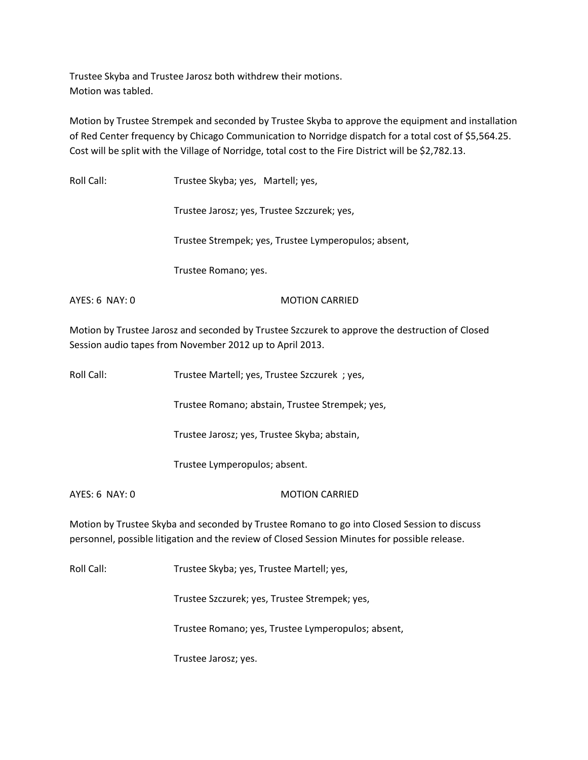Trustee Skyba and Trustee Jarosz both withdrew their motions. Motion was tabled.

Motion by Trustee Strempek and seconded by Trustee Skyba to approve the equipment and installation of Red Center frequency by Chicago Communication to Norridge dispatch for a total cost of \$5,564.25. Cost will be split with the Village of Norridge, total cost to the Fire District will be \$2,782.13.

Roll Call: Trustee Skyba; yes, Martell; yes,

Trustee Jarosz; yes, Trustee Szczurek; yes,

Trustee Strempek; yes, Trustee Lymperopulos; absent,

Trustee Romano; yes.

AYES: 6 NAY: 0 MOTION CARRIED

Motion by Trustee Jarosz and seconded by Trustee Szczurek to approve the destruction of Closed Session audio tapes from November 2012 up to April 2013.

| Roll Call:     | Trustee Martell; yes, Trustee Szczurek ; yes,                                                                                                                                                |
|----------------|----------------------------------------------------------------------------------------------------------------------------------------------------------------------------------------------|
|                | Trustee Romano; abstain, Trustee Strempek; yes,                                                                                                                                              |
|                | Trustee Jarosz; yes, Trustee Skyba; abstain,                                                                                                                                                 |
|                | Trustee Lymperopulos; absent.                                                                                                                                                                |
| AYES: 6 NAY: 0 | <b>MOTION CARRIED</b>                                                                                                                                                                        |
|                | Motion by Trustee Skyba and seconded by Trustee Romano to go into Closed Session to discuss<br>personnel, possible litigation and the review of Closed Session Minutes for possible release. |
| Roll Call:     | Trustee Skyba; yes, Trustee Martell; yes,                                                                                                                                                    |
|                | Trustee Szczurek; yes, Trustee Strempek; yes,                                                                                                                                                |

Trustee Romano; yes, Trustee Lymperopulos; absent,

Trustee Jarosz; yes.